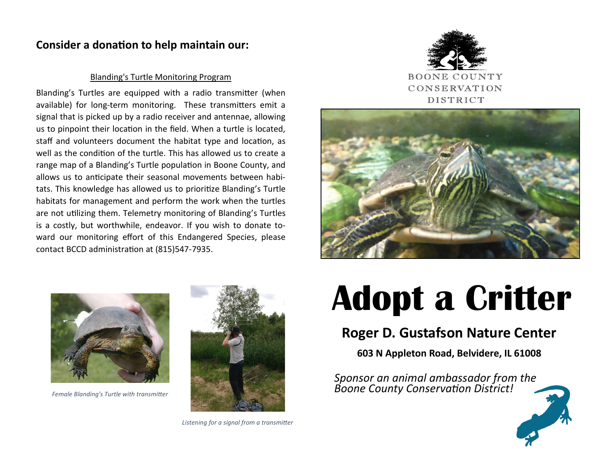### **Consider a donation to help maintain our:**

#### Blanding's Turtle Monitoring Program

Blanding's Turtles are equipped with a radio transmitter (when available) for long-term monitoring. These transmitters emit a signal that is picked up by a radio receiver and antennae, allowing us to pinpoint their location in the field. When a turtle is located, staff and volunteers document the habitat type and location, as well as the condition of the turtle. This has allowed us to create a range map of a Blanding's Turtle population in Boone County, and allows us to anticipate their seasonal movements between habitats. This knowledge has allowed us to prioritize Blanding's Turtle habitats for management and perform the work when the turtles are not utilizing them. Telemetry monitoring of Blanding's Turtles is a costly, but worthwhile, endeavor. If you wish to donate toward our monitoring effort of this Endangered Species, please contact BCCD administration at (815)547-7935.







*Female Blanding's Turtle with transmitter*



*Listening for a signal from a transmitter*

# **Adopt a Critter**

## **Roger D. Gustafson Nature Center**

**603 N Appleton Road, Belvidere, IL 61008**

*Sponsor an animal ambassador from the Boone County Conservation District!*